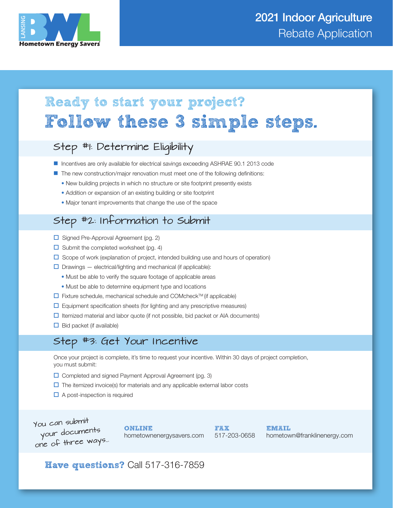

# Ready to start your project? Follow these 3 simple steps.

# Step #1: Determine Eligibility

- Incentives are only available for electrical savings exceeding ASHRAE 90.1 2013 code
- **The new construction/major renovation must meet one of the following definitions:** 
	- New building projects in which no structure or site footprint presently exists
	- Addition or expansion of an existing building or site footprint
	- Major tenant improvements that change the use of the space

# Step #2: Information to Submit

- $\Box$  Signed Pre-Approval Agreement (pg. 2)
- $\Box$  Submit the completed worksheet (pg. 4)
- $\Box$  Scope of work (explanation of project, intended building use and hours of operation)
- $\square$  Drawings electrical/lighting and mechanical (if applicable):
	- Must be able to verify the square footage of applicable areas
	- Must be able to determine equipment type and locations
- $\Box$  Fixture schedule, mechanical schedule and COMcheck<sup>TM</sup> (if applicable)
- $\Box$  Equipment specification sheets (for lighting and any prescriptive measures)
- $\Box$  Itemized material and labor quote (if not possible, bid packet or AIA documents)
- $\Box$  Bid packet (if available)

# Step #3: Get Your Incentive

Once your project is complete, it's time to request your incentive. Within 30 days of project completion, you must submit:

- $\Box$  Completed and signed Payment Approval Agreement (pg. 3)
- $\Box$  The itemized invoice(s) for materials and any applicable external labor costs
- $\Box$  A post-inspection is required

 You can submit your documents one of three ways...

ONLINE hometownenergysavers.com FAX 517-203-0658 EMAIL hometown@franklinenergy.com

Have questions? Call 517-316-7859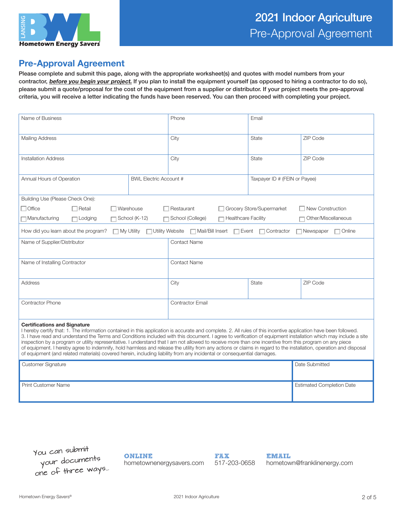

### Pre-Approval Agreement

Please complete and submit this page, along with the appropriate worksheet(s) and quotes with model numbers from your contractor, before you begin your project. If you plan to install the equipment yourself (as opposed to hiring a contractor to do so), please submit a quote/proposal for the cost of the equipment from a supplier or distributor. If your project meets the pre-approval criteria, you will receive a letter indicating the funds have been reserved. You can then proceed with completing your project.

| Name of Business                                                                                                                                                                                                                                                                                                                                                                                                                                                                                                                                                                                                                                                                                                                                                                                                                    |                         | Phone                                                     | Email                     |                                   |  |  |
|-------------------------------------------------------------------------------------------------------------------------------------------------------------------------------------------------------------------------------------------------------------------------------------------------------------------------------------------------------------------------------------------------------------------------------------------------------------------------------------------------------------------------------------------------------------------------------------------------------------------------------------------------------------------------------------------------------------------------------------------------------------------------------------------------------------------------------------|-------------------------|-----------------------------------------------------------|---------------------------|-----------------------------------|--|--|
| Mailing Address                                                                                                                                                                                                                                                                                                                                                                                                                                                                                                                                                                                                                                                                                                                                                                                                                     |                         | City                                                      | State                     | ZIP Code                          |  |  |
| <b>Installation Address</b>                                                                                                                                                                                                                                                                                                                                                                                                                                                                                                                                                                                                                                                                                                                                                                                                         |                         | City                                                      | <b>State</b>              | ZIP Code                          |  |  |
| Annual Hours of Operation<br><b>BWL Electric Account #</b>                                                                                                                                                                                                                                                                                                                                                                                                                                                                                                                                                                                                                                                                                                                                                                          |                         | Taxpayer ID # (FEIN or Payee)                             |                           |                                   |  |  |
| Building Use (Please Check One):                                                                                                                                                                                                                                                                                                                                                                                                                                                                                                                                                                                                                                                                                                                                                                                                    |                         |                                                           |                           |                                   |  |  |
| $\Box$ Office<br>Retail                                                                                                                                                                                                                                                                                                                                                                                                                                                                                                                                                                                                                                                                                                                                                                                                             | Warehouse               | $\Box$ Restaurant                                         | Grocery Store/Supermarket | New Construction                  |  |  |
| ⊤Manufacturing<br>$\Box$ Lodging                                                                                                                                                                                                                                                                                                                                                                                                                                                                                                                                                                                                                                                                                                                                                                                                    | School (K-12)           | $\Box$ Healthcare Facility<br>School (College)            |                           | Other/Miscellaneous               |  |  |
| How did you learn about the program?<br>$\Box$ My Utility                                                                                                                                                                                                                                                                                                                                                                                                                                                                                                                                                                                                                                                                                                                                                                           |                         | □ Utility Website □ Mail/Bill Insert □ Event □ Contractor |                           | $\Box$ Online<br>$\Box$ Newspaper |  |  |
| Name of Supplier/Distributor                                                                                                                                                                                                                                                                                                                                                                                                                                                                                                                                                                                                                                                                                                                                                                                                        |                         | <b>Contact Name</b>                                       |                           |                                   |  |  |
| Name of Installing Contractor                                                                                                                                                                                                                                                                                                                                                                                                                                                                                                                                                                                                                                                                                                                                                                                                       | <b>Contact Name</b>     |                                                           |                           |                                   |  |  |
| <b>Address</b>                                                                                                                                                                                                                                                                                                                                                                                                                                                                                                                                                                                                                                                                                                                                                                                                                      |                         | City                                                      | <b>State</b>              | ZIP Code                          |  |  |
| <b>Contractor Phone</b>                                                                                                                                                                                                                                                                                                                                                                                                                                                                                                                                                                                                                                                                                                                                                                                                             | <b>Contractor Email</b> |                                                           |                           |                                   |  |  |
| <b>Certifications and Signature</b><br>I hereby certify that: 1. The information contained in this application is accurate and complete. 2. All rules of this incentive application have been followed.<br>3. I have read and understand the Terms and Conditions included with this document. I agree to verification of equipment installation which may include a site<br>inspection by a program or utility representative. I understand that I am not allowed to receive more than one incentive from this program on any piece<br>of equipment. I hereby agree to indemnify, hold harmless and release the utility from any actions or claims in regard to the installation, operation and disposal<br>of equipment (and related materials) covered herein, including liability from any incidental or consequential damages. |                         |                                                           |                           |                                   |  |  |
| <b>Customer Signature</b>                                                                                                                                                                                                                                                                                                                                                                                                                                                                                                                                                                                                                                                                                                                                                                                                           |                         |                                                           |                           | Date Submitted                    |  |  |
| <b>Print Customer Name</b>                                                                                                                                                                                                                                                                                                                                                                                                                                                                                                                                                                                                                                                                                                                                                                                                          |                         |                                                           |                           | <b>Estimated Completion Date</b>  |  |  |

You can submit your documents one of three ways...

ONLINE hometownenergysavers.com



#### EMAIL hometown@franklinenergy.com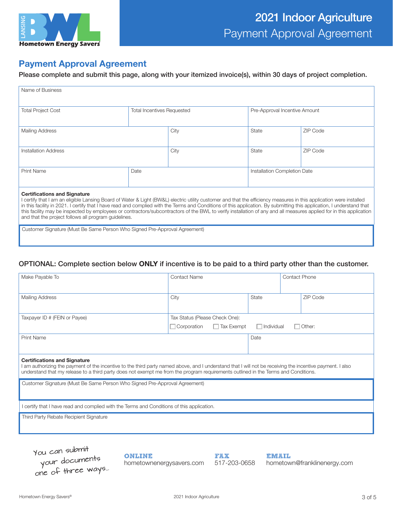

### Payment Approval Agreement

Please complete and submit this page, along with your itemized invoice(s), within 30 days of project completion.

| Name of Business            |                                   |      |                               |          |
|-----------------------------|-----------------------------------|------|-------------------------------|----------|
| <b>Total Project Cost</b>   | <b>Total Incentives Requested</b> |      | Pre-Approval Incentive Amount |          |
| <b>Mailing Address</b>      |                                   | City | State                         | ZIP Code |
| <b>Installation Address</b> |                                   | City | State                         | ZIP Code |
| <b>Print Name</b>           | Date                              |      | Installation Completion Date  |          |
|                             |                                   |      |                               |          |

#### Certifications and Signature

I certify that I am an eligible Lansing Board of Water & Light (BW&L) electric utility customer and that the efficiency measures in this application were installed in this facility in 2021. I certify that I have read and complied with the Terms and Conditions of this application. By submitting this application, I understand that this facility may be inspected by employees or contractors/subcontractors of the BWL to verify installation of any and all measures applied for in this application and that the project follows all program guidelines.

Customer Signature (Must Be Same Person Who Signed Pre-Approval Agreement)

#### OPTIONAL: Complete section below ONLY if incentive is to be paid to a third party other than the customer.

| Make Payable To                                                                                                                                                                                                                                                                                                                      | <b>Contact Name</b>                     |                                    |  | Contact Phone |  |
|--------------------------------------------------------------------------------------------------------------------------------------------------------------------------------------------------------------------------------------------------------------------------------------------------------------------------------------|-----------------------------------------|------------------------------------|--|---------------|--|
| <b>Mailing Address</b>                                                                                                                                                                                                                                                                                                               | City                                    | State                              |  | ZIP Code      |  |
| Taxpayer ID # (FEIN or Payee)                                                                                                                                                                                                                                                                                                        | Tax Status (Please Check One):          |                                    |  |               |  |
|                                                                                                                                                                                                                                                                                                                                      | $\Box$ Corporation<br>$\Box$ Tax Exempt | $\Box$ Other:<br>$\Box$ Individual |  |               |  |
| <b>Print Name</b><br>Date                                                                                                                                                                                                                                                                                                            |                                         |                                    |  |               |  |
| <b>Certifications and Signature</b><br>am authorizing the payment of the incentive to the third party named above, and I understand that I will not be receiving the incentive payment. I also<br>understand that my release to a third party does not exempt me from the program requirements outlined in the Terms and Conditions. |                                         |                                    |  |               |  |
| Customer Signature (Must Be Same Person Who Signed Pre-Approval Agreement)                                                                                                                                                                                                                                                           |                                         |                                    |  |               |  |
| I certify that I have read and complied with the Terms and Conditions of this application.                                                                                                                                                                                                                                           |                                         |                                    |  |               |  |
| Third Party Rebate Recipient Signature                                                                                                                                                                                                                                                                                               |                                         |                                    |  |               |  |

 You can submit your documents one of three ways...

ONLINE hometownenergysavers.com



#### EMAIL

hometown@franklinenergy.com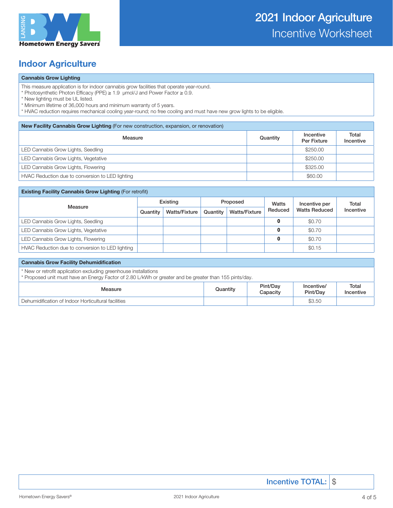

## Indoor Agriculture

#### Cannabis Grow Lighting

This measure application is for indoor cannabis grow facilities that operate year-round.

\* Photosynthetic Photon Efficacy (PPE) ≥ 1.9 µmol/J and Power Factor ≥ 0.9.

\* New lighting must be UL listed.

\* Minimum lifetime of 36,000 hours and minimum warranty of 5 years.

\* HVAC reduction requires mechanical cooling year-round; no free cooling and must have new grow lights to be eligible.

#### New Facility Cannabis Grow Lighting (For new construction, expansion, or renovation)

| Measure                                          | Quantity | Incentive<br>Per Fixture | Total<br>Incentive |
|--------------------------------------------------|----------|--------------------------|--------------------|
| LED Cannabis Grow Lights, Seedling               |          | \$250.00                 |                    |
| LED Cannabis Grow Lights, Vegetative             |          | \$250.00                 |                    |
| LED Cannabis Grow Lights, Flowering              |          | \$325.00                 |                    |
| HVAC Reduction due to conversion to LED lighting |          | \$60,00                  |                    |

| <b>Existing Facility Cannabis Grow Lighting (For retrofit)</b> |          |                      |          |                      |         |                      |           |  |
|----------------------------------------------------------------|----------|----------------------|----------|----------------------|---------|----------------------|-----------|--|
| Measure                                                        | Existing |                      | Proposed |                      | Watts   | Incentive per        | Total     |  |
|                                                                | Quantity | <b>Watts/Fixture</b> | Quantity | <b>Watts/Fixture</b> | Reduced | <b>Watts Reduced</b> | Incentive |  |
| LED Cannabis Grow Lights, Seedling                             |          |                      |          |                      | 0       | \$0.70               |           |  |
| LED Cannabis Grow Lights, Vegetative                           |          |                      |          |                      | 0       | \$0.70               |           |  |
| LED Cannabis Grow Lights, Flowering                            |          |                      |          |                      | 0       | \$0.70               |           |  |
| HVAC Reduction due to conversion to LED lighting               |          |                      |          |                      |         | \$0.15               |           |  |

| <b>Cannabis Grow Facility Dehumidification</b>                                                                                                                           |          |                      |                        |                    |  |  |  |  |
|--------------------------------------------------------------------------------------------------------------------------------------------------------------------------|----------|----------------------|------------------------|--------------------|--|--|--|--|
| New or retrofit application excluding greenhouse installations<br>* Proposed unit must have an Energy Factor of 2.80 L/kWh or greater and be greater than 155 pints/day. |          |                      |                        |                    |  |  |  |  |
| Measure                                                                                                                                                                  | Quantity | Pint/Dav<br>Capacity | Incentive/<br>Pint/Dav | Total<br>Incentive |  |  |  |  |
| Dehumidification of Indoor Horticultural facilities                                                                                                                      |          |                      | \$3.50                 |                    |  |  |  |  |